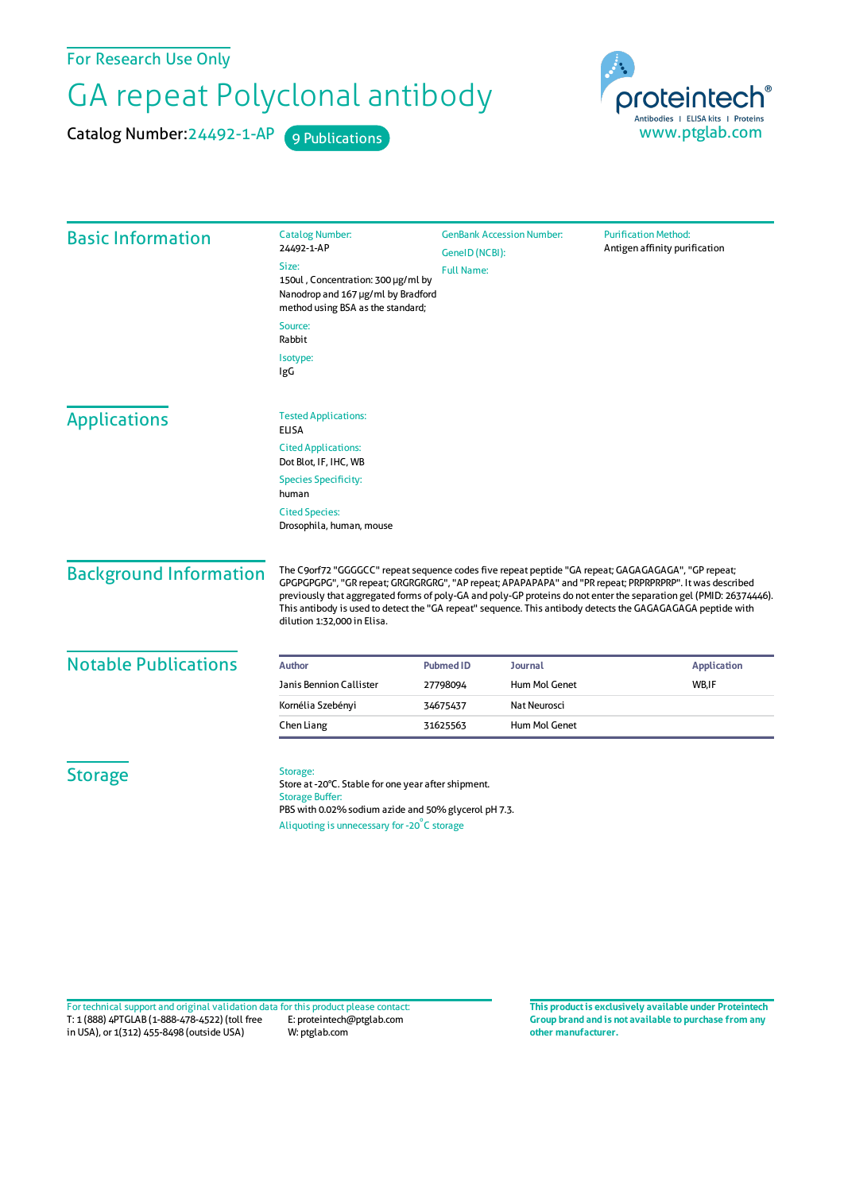For Research Use Only

## GA repeat Polyclonal antibody

Catalog Number: 24492-1-AP 9 Publications



| <b>Basic Information</b>      | <b>Catalog Number:</b>                                                                                                                                                                                                                                                                                                                                                                                                                                                             | <b>GenBank Accession Number:</b><br><b>Purification Method:</b> |                |                               |
|-------------------------------|------------------------------------------------------------------------------------------------------------------------------------------------------------------------------------------------------------------------------------------------------------------------------------------------------------------------------------------------------------------------------------------------------------------------------------------------------------------------------------|-----------------------------------------------------------------|----------------|-------------------------------|
|                               | 24492-1-AP<br>Size:<br>150ul, Concentration: 300 µg/ml by<br>Nanodrop and 167 µg/ml by Bradford<br>method using BSA as the standard;                                                                                                                                                                                                                                                                                                                                               | GeneID (NCBI):<br><b>Full Name:</b>                             |                | Antigen affinity purification |
|                               | Source:<br>Rabbit                                                                                                                                                                                                                                                                                                                                                                                                                                                                  |                                                                 |                |                               |
|                               | Isotype:<br>IgG                                                                                                                                                                                                                                                                                                                                                                                                                                                                    |                                                                 |                |                               |
| <b>Applications</b>           | <b>Tested Applications:</b><br><b>ELISA</b>                                                                                                                                                                                                                                                                                                                                                                                                                                        |                                                                 |                |                               |
|                               | <b>Cited Applications:</b><br>Dot Blot, IF, IHC, WB                                                                                                                                                                                                                                                                                                                                                                                                                                |                                                                 |                |                               |
|                               | <b>Species Specificity:</b><br>human                                                                                                                                                                                                                                                                                                                                                                                                                                               |                                                                 |                |                               |
|                               | <b>Cited Species:</b><br>Drosophila, human, mouse                                                                                                                                                                                                                                                                                                                                                                                                                                  |                                                                 |                |                               |
| <b>Background Information</b> | The C9orf72 "GGGGCC" repeat sequence codes five repeat peptide "GA repeat; GAGAGAGAGA", "GP repeat;<br>GPGPGPGPG", "GR repeat; GRGRGRGRG", "AP repeat; APAPAPAPA" and "PR repeat; PRPRPRPRP". It was described<br>previously that aggregated forms of poly-GA and poly-GP proteins do not enter the separation gel (PMID: 26374446).<br>This antibody is used to detect the "GA repeat" sequence. This antibody detects the GAGAGAGAGA peptide with<br>dilution 1:32,000 in Elisa. |                                                                 |                |                               |
| <b>Notable Publications</b>   | Author                                                                                                                                                                                                                                                                                                                                                                                                                                                                             | <b>Pubmed ID</b>                                                | <b>Journal</b> | <b>Application</b>            |
|                               | Janis Bennion Callister                                                                                                                                                                                                                                                                                                                                                                                                                                                            | 27798094                                                        | Hum Mol Genet  | WB,IF                         |
|                               | Kornélia Szebényi                                                                                                                                                                                                                                                                                                                                                                                                                                                                  | 34675437                                                        | Nat Neurosci   |                               |
|                               | Chen Liang                                                                                                                                                                                                                                                                                                                                                                                                                                                                         | 31625563                                                        | Hum Mol Genet  |                               |
| <b>Storage</b>                | Storage:<br>Store at -20°C. Stable for one year after shipment.<br><b>Storage Buffer:</b><br>PBS with 0.02% sodium azide and 50% glycerol pH 7.3.<br>Aliquoting is unnecessary for -20°C storage                                                                                                                                                                                                                                                                                   |                                                                 |                |                               |

T: 1 (888) 4PTGLAB (1-888-478-4522) (toll free in USA), or 1(312) 455-8498 (outside USA) E: proteintech@ptglab.com W: ptglab.com Fortechnical support and original validation data forthis product please contact: **This productis exclusively available under Proteintech**

**Group brand and is not available to purchase from any other manufacturer.**